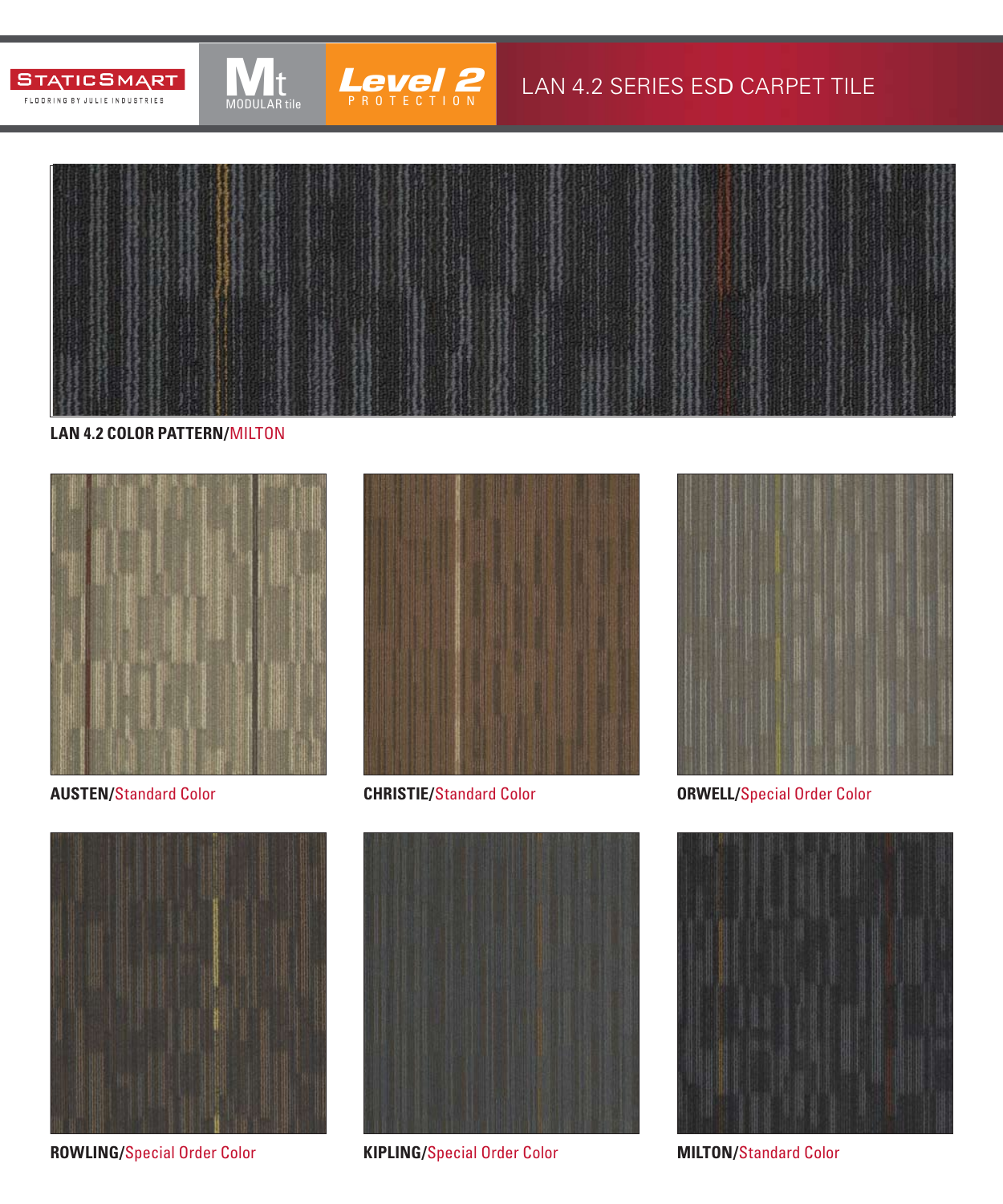



MODULAR tile

### LAN 4.2 SERIES ESD CARPET TILE



#### **LAN 4.2 COLOR PATTERN/**MILTON



**AUSTEN/**Standard Color **CHRISTIE/**Standard Color



**ROWLING/**Special Order Color **KIPLING/**Special Order Color







**ORWELL/**Special Order Color



**MILTON/**Standard Color